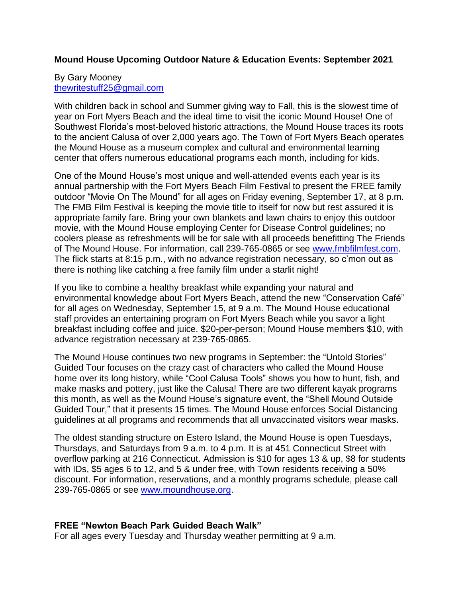## **Mound House Upcoming Outdoor Nature & Education Events: September 2021**

#### By Gary Mooney [thewritestuff25@gmail.com](mailto:thewritestuff25@gmail.com)

With children back in school and Summer giving way to Fall, this is the slowest time of year on Fort Myers Beach and the ideal time to visit the iconic Mound House! One of Southwest Florida's most-beloved historic attractions, the Mound House traces its roots to the ancient Calusa of over 2,000 years ago. The Town of Fort Myers Beach operates the Mound House as a museum complex and cultural and environmental learning center that offers numerous educational programs each month, including for kids.

One of the Mound House's most unique and well-attended events each year is its annual partnership with the Fort Myers Beach Film Festival to present the FREE family outdoor "Movie On The Mound" for all ages on Friday evening, September 17, at 8 p.m. The FMB Film Festival is keeping the movie title to itself for now but rest assured it is appropriate family fare. Bring your own blankets and lawn chairs to enjoy this outdoor movie, with the Mound House employing Center for Disease Control guidelines; no coolers please as refreshments will be for sale with all proceeds benefitting The Friends of The Mound House. For information, call 239-765-0865 or see [www.fmbfilmfest.com.](http://www.fmbfilmfest.com/) The flick starts at 8:15 p.m., with no advance registration necessary, so c'mon out as there is nothing like catching a free family film under a starlit night!

If you like to combine a healthy breakfast while expanding your natural and environmental knowledge about Fort Myers Beach, attend the new "Conservation Café" for all ages on Wednesday, September 15, at 9 a.m. The Mound House educational staff provides an entertaining program on Fort Myers Beach while you savor a light breakfast including coffee and juice. \$20-per-person; Mound House members \$10, with advance registration necessary at 239-765-0865.

The Mound House continues two new programs in September: the "Untold Stories" Guided Tour focuses on the crazy cast of characters who called the Mound House home over its long history, while "Cool Calusa Tools" shows you how to hunt, fish, and make masks and pottery, just like the Calusa! There are two different kayak programs this month, as well as the Mound House's signature event, the "Shell Mound Outside Guided Tour," that it presents 15 times. The Mound House enforces Social Distancing guidelines at all programs and recommends that all unvaccinated visitors wear masks.

The oldest standing structure on Estero Island, the Mound House is open Tuesdays, Thursdays, and Saturdays from 9 a.m. to 4 p.m. It is at 451 Connecticut Street with overflow parking at 216 Connecticut. Admission is \$10 for ages 13 & up, \$8 for students with IDs, \$5 ages 6 to 12, and 5 & under free, with Town residents receiving a 50% discount. For information, reservations, and a monthly programs schedule, please call 239-765-0865 or see [www.moundhouse.org.](http://www.moundhouse.org/)

## **FREE "Newton Beach Park Guided Beach Walk"**

For all ages every Tuesday and Thursday weather permitting at 9 a.m.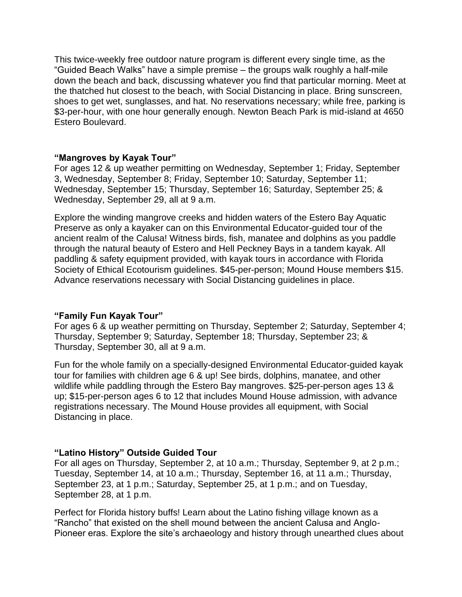This twice-weekly free outdoor nature program is different every single time, as the "Guided Beach Walks" have a simple premise – the groups walk roughly a half-mile down the beach and back, discussing whatever you find that particular morning. Meet at the thatched hut closest to the beach, with Social Distancing in place. Bring sunscreen, shoes to get wet, sunglasses, and hat. No reservations necessary; while free, parking is \$3-per-hour, with one hour generally enough. Newton Beach Park is mid-island at 4650 Estero Boulevard.

### **"Mangroves by Kayak Tour"**

For ages 12 & up weather permitting on Wednesday, September 1; Friday, September 3, Wednesday, September 8; Friday, September 10; Saturday, September 11; Wednesday, September 15; Thursday, September 16; Saturday, September 25; & Wednesday, September 29, all at 9 a.m.

Explore the winding mangrove creeks and hidden waters of the Estero Bay Aquatic Preserve as only a kayaker can on this Environmental Educator-guided tour of the ancient realm of the Calusa! Witness birds, fish, manatee and dolphins as you paddle through the natural beauty of Estero and Hell Peckney Bays in a tandem kayak. All paddling & safety equipment provided, with kayak tours in accordance with Florida Society of Ethical Ecotourism guidelines. \$45-per-person; Mound House members \$15. Advance reservations necessary with Social Distancing guidelines in place.

#### **"Family Fun Kayak Tour"**

For ages 6 & up weather permitting on Thursday, September 2; Saturday, September 4; Thursday, September 9; Saturday, September 18; Thursday, September 23; & Thursday, September 30, all at 9 a.m.

Fun for the whole family on a specially-designed Environmental Educator-guided kayak tour for families with children age 6 & up! See birds, dolphins, manatee, and other wildlife while paddling through the Estero Bay mangroves. \$25-per-person ages 13 & up; \$15-per-person ages 6 to 12 that includes Mound House admission, with advance registrations necessary. The Mound House provides all equipment, with Social Distancing in place.

## **"Latino History" Outside Guided Tour**

For all ages on Thursday, September 2, at 10 a.m.; Thursday, September 9, at 2 p.m.; Tuesday, September 14, at 10 a.m.; Thursday, September 16, at 11 a.m.; Thursday, September 23, at 1 p.m.; Saturday, September 25, at 1 p.m.; and on Tuesday, September 28, at 1 p.m.

Perfect for Florida history buffs! Learn about the Latino fishing village known as a "Rancho" that existed on the shell mound between the ancient Calusa and Anglo-Pioneer eras. Explore the site's archaeology and history through unearthed clues about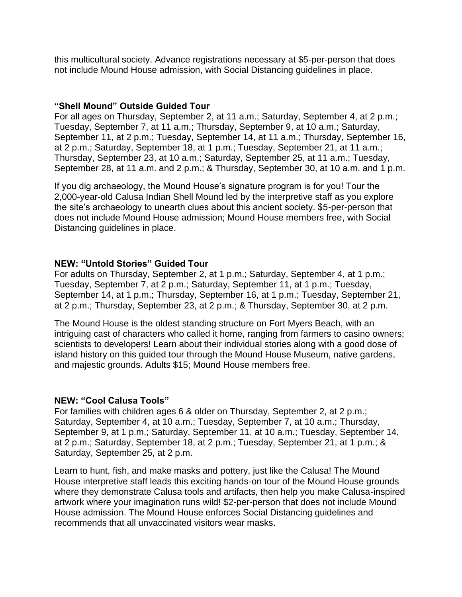this multicultural society. Advance registrations necessary at \$5-per-person that does not include Mound House admission, with Social Distancing guidelines in place.

### **"Shell Mound" Outside Guided Tour**

For all ages on Thursday, September 2, at 11 a.m.; Saturday, September 4, at 2 p.m.; Tuesday, September 7, at 11 a.m.; Thursday, September 9, at 10 a.m.; Saturday, September 11, at 2 p.m.; Tuesday, September 14, at 11 a.m.; Thursday, September 16, at 2 p.m.; Saturday, September 18, at 1 p.m.; Tuesday, September 21, at 11 a.m.; Thursday, September 23, at 10 a.m.; Saturday, September 25, at 11 a.m.; Tuesday, September 28, at 11 a.m. and 2 p.m.; & Thursday, September 30, at 10 a.m. and 1 p.m.

If you dig archaeology, the Mound House's signature program is for you! Tour the 2,000-year-old Calusa Indian Shell Mound led by the interpretive staff as you explore the site's archaeology to unearth clues about this ancient society. \$5-per-person that does not include Mound House admission; Mound House members free, with Social Distancing guidelines in place.

### **NEW: "Untold Stories" Guided Tour**

For adults on Thursday, September 2, at 1 p.m.; Saturday, September 4, at 1 p.m.; Tuesday, September 7, at 2 p.m.; Saturday, September 11, at 1 p.m.; Tuesday, September 14, at 1 p.m.; Thursday, September 16, at 1 p.m.; Tuesday, September 21, at 2 p.m.; Thursday, September 23, at 2 p.m.; & Thursday, September 30, at 2 p.m.

The Mound House is the oldest standing structure on Fort Myers Beach, with an intriguing cast of characters who called it home, ranging from farmers to casino owners; scientists to developers! Learn about their individual stories along with a good dose of island history on this guided tour through the Mound House Museum, native gardens, and majestic grounds. Adults \$15; Mound House members free.

## **NEW: "Cool Calusa Tools"**

For families with children ages 6 & older on Thursday, September 2, at 2 p.m.; Saturday, September 4, at 10 a.m.; Tuesday, September 7, at 10 a.m.; Thursday, September 9, at 1 p.m.; Saturday, September 11, at 10 a.m.; Tuesday, September 14, at 2 p.m.; Saturday, September 18, at 2 p.m.; Tuesday, September 21, at 1 p.m.; & Saturday, September 25, at 2 p.m.

Learn to hunt, fish, and make masks and pottery, just like the Calusa! The Mound House interpretive staff leads this exciting hands-on tour of the Mound House grounds where they demonstrate Calusa tools and artifacts, then help you make Calusa-inspired artwork where your imagination runs wild! \$2-per-person that does not include Mound House admission. The Mound House enforces Social Distancing guidelines and recommends that all unvaccinated visitors wear masks.